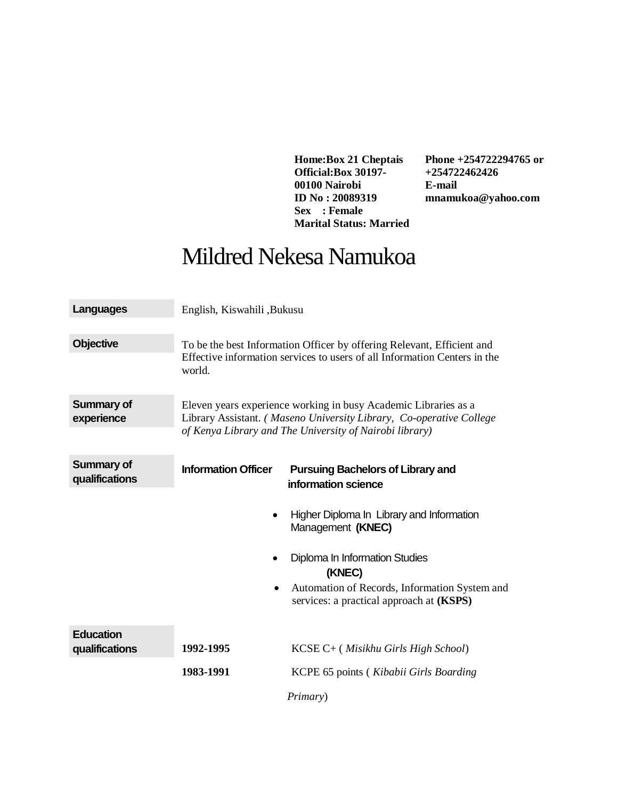**Home:Box 21 Cheptais Official:Box 30197- 00100 Nairobi ID No : 20089319 Sex : Female Marital Status: Married** **Phone +254722294765 or +254722462426 E-mail mnamukoa@yahoo.com**

## Mildred Nekesa Namukoa

| <b>Languages</b>                    | English, Kiswahili , Bukusu                                                                                                                                                                       |                                                                                                                                                                                                         |  |
|-------------------------------------|---------------------------------------------------------------------------------------------------------------------------------------------------------------------------------------------------|---------------------------------------------------------------------------------------------------------------------------------------------------------------------------------------------------------|--|
| <b>Objective</b>                    | To be the best Information Officer by offering Relevant, Efficient and<br>Effective information services to users of all Information Centers in the<br>world.                                     |                                                                                                                                                                                                         |  |
| <b>Summary of</b><br>experience     | Eleven years experience working in busy Academic Libraries as a<br>Library Assistant. (Maseno University Library, Co-operative College<br>of Kenya Library and The University of Nairobi library) |                                                                                                                                                                                                         |  |
| <b>Summary of</b><br>qualifications | <b>Information Officer</b>                                                                                                                                                                        | <b>Pursuing Bachelors of Library and</b><br>information science                                                                                                                                         |  |
|                                     | ٠                                                                                                                                                                                                 | Higher Diploma In Library and Information<br>Management (KNEC)<br>Diploma In Information Studies<br>(KNEC)<br>Automation of Records, Information System and<br>services: a practical approach at (KSPS) |  |
| <b>Education</b><br>qualifications  | 1992-1995                                                                                                                                                                                         | KCSE C+ (Misikhu Girls High School)                                                                                                                                                                     |  |
|                                     | 1983-1991                                                                                                                                                                                         | KCPE 65 points (Kibabii Girls Boarding                                                                                                                                                                  |  |
|                                     |                                                                                                                                                                                                   | <i>Primary</i> )                                                                                                                                                                                        |  |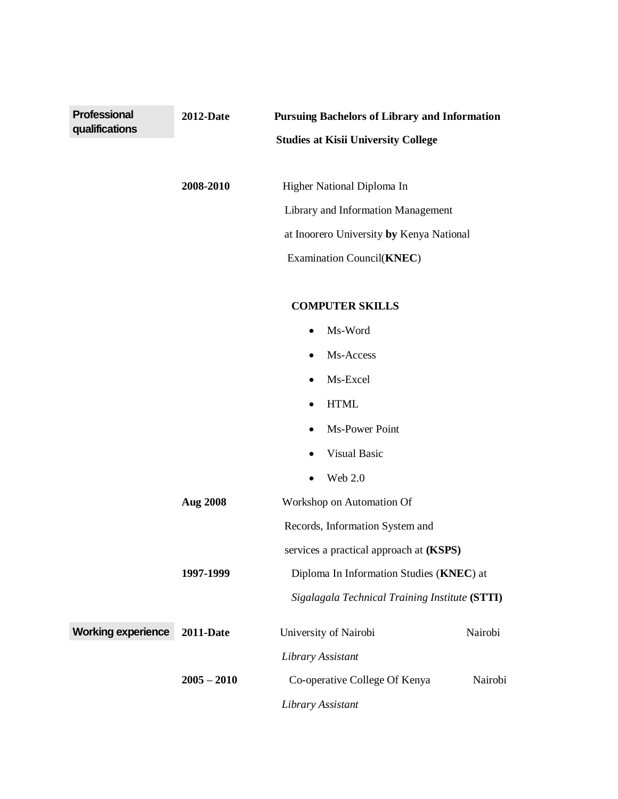| <b>Professional</b>       | <b>2012-Date</b> | <b>Pursuing Bachelors of Library and Information</b> |         |
|---------------------------|------------------|------------------------------------------------------|---------|
| qualifications            |                  | <b>Studies at Kisii University College</b>           |         |
|                           |                  |                                                      |         |
|                           | 2008-2010        | Higher National Diploma In                           |         |
|                           |                  | Library and Information Management                   |         |
|                           |                  | at Inoorero University by Kenya National             |         |
|                           |                  | Examination Council(KNEC)                            |         |
|                           |                  | <b>COMPUTER SKILLS</b>                               |         |
|                           |                  | Ms-Word                                              |         |
|                           |                  | Ms-Access                                            |         |
|                           |                  | Ms-Excel                                             |         |
|                           |                  | <b>HTML</b><br>$\bullet$                             |         |
|                           |                  | Ms-Power Point                                       |         |
|                           |                  | <b>Visual Basic</b>                                  |         |
|                           |                  | Web 2.0                                              |         |
|                           | Aug 2008         | Workshop on Automation Of                            |         |
|                           |                  | Records, Information System and                      |         |
|                           |                  | services a practical approach at (KSPS)              |         |
|                           | 1997-1999        | Diploma In Information Studies (KNEC) at             |         |
|                           |                  | Sigalagala Technical Training Institute (STTI)       |         |
| <b>Working experience</b> | <b>2011-Date</b> | University of Nairobi                                | Nairobi |
|                           |                  | Library Assistant                                    |         |
|                           | $2005 - 2010$    | Co-operative College Of Kenya                        | Nairobi |
|                           |                  | Library Assistant                                    |         |